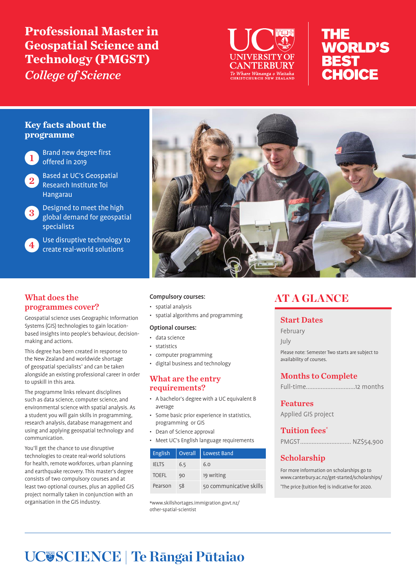**Professional Master in Geospatial Science and Technology (PMGST)**  *College of Science*



# THE **WORLD'S BEST CHOICE**

## **Key facts about the programme**



**Brand new degree first** offered in 2019

<sup>2</sup> Based at UC's Geospatial Research Institute Toi Hangarau

Designed to meet the high global demand for geospatial specialists

Use disruptive technology to create real-world solutions

## What does the programmes cover?

Geospatial science uses Geographic Information Systems (GIS) technologies to gain locationbased insights into people's behaviour, decisionmaking and actions.

This degree has been created in response to the New Zealand and worldwide shortage of geospatial specialists\* and can be taken alongside an existing professional career in order to upskill in this area.

The programme links relevant disciplines such as data science, computer science, and environmental science with spatial analysis. As a student you will gain skills in programming, research analysis, database management and using and applying geospatial technology and communication.

You'll get the chance to use disruptive technologies to create real-world solutions for health, remote workforces, urban planning and earthquake recovery. This master's degree consists of two compulsory courses and at least two optional courses, plus an applied GIS project normally taken in conjunction with an organisation in the GIS industry.



#### Compulsory courses:

- spatial analysis
- spatial algorithms and programming

#### Optional courses:

- data science
- statistics
- computer programming
- digital business and technology

## What are the entry requirements?

- A bachelor's degree with a UC equivalent B average
- Some basic prior experience in statistics, programming or GIS
- Dean of Science approval
- Meet UC's English language requirements

| <b>English</b> | Overall | Lowest Band             |
|----------------|---------|-------------------------|
| <b>IELTS</b>   | 6.5     | 6.0                     |
| <b>TOEFL</b>   | 90      | 19 writing              |
| Pearson        | 58      | 50 communicative skills |

\*www.skillshortages.immigration.govt.nz/ other-spatial-scientist

## **AT A GLANCE**

## Start Dates

February

July

Please note: Semester Two starts are subject to availability of courses.

## Months to Complete

Full-time..............................12 months

## Features

Applied GIS project

## Tuition fees\*

## Scholarship

For more information on scholarships go to www.canterbury.ac.nz/get-started/scholarships/ \* The price (tuition fee) is indicative for 2020.

# **SCIENCE | Te Rāngai Pūtaiao**